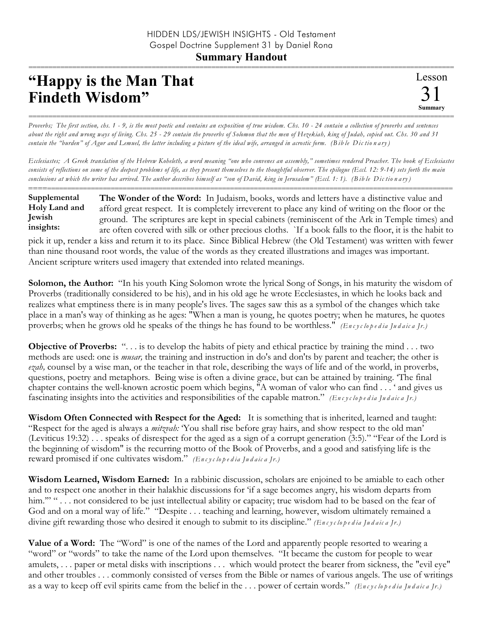## =========================================================================================================== **"Happy is the Man That Findeth Wisdom"**

*Proverbs; The first section, chs. 1 - 9, is the most poetic and contains an exposition of true wisdom. Chs. 10 - 24 contain a collection of proverbs and sentences about the right and wrong ways of living. Chs. 25 - 29 contain the proverbs of Solomon that the men of Hezekiah, king of Judah, copied out. Chs. 30 and 31 contain the "burden" of Agur and Lemuel, the latter including a picture of the ideal wife, arranged in acrostic form. (B ib le Dic tio n a ry )*

===========================================================================================================

*Ecclesiastes; A Greek translation of the Hebrew Koheleth, a word meaning "one who convenes an assembly," sometimes rendered Preacher. The book of Ecclesiastes consists of reflections on some of the deepest problems of life, as they present themselves to the thoughtful observer. The epilogue (Eccl. 12: 9-14) sets forth the main conclusions at which the writer has arrived. The author describes himself as "son of David, king in Jerusalem" (Eccl. 1: 1). (B ib le Dic tio n a ry )*

**Supplemental Holy Land and Jewish insights:**

========================================================================================================== **The Wonder of the Word:** In Judaism, books, words and letters have a distinctive value and afford great respect. It is completely irreverent to place any kind of writing on the floor or the ground. The scriptures are kept in special cabinets (reminiscent of the Ark in Temple times) and are often covered with silk or other precious cloths. `If a book falls to the floor, it is the habit to

pick it up, render a kiss and return it to its place. Since Biblical Hebrew (the Old Testament) was written with fewer than nine thousand root words, the value of the words as they created illustrations and images was important. Ancient scripture writers used imagery that extended into related meanings.

**Solomon, the Author:** "In his youth King Solomon wrote the lyrical Song of Songs, in his maturity the wisdom of Proverbs (traditionally considered to be his), and in his old age he wrote Ecclesiastes, in which he looks back and realizes what emptiness there is in many people's lives. The sages saw this as a symbol of the changes which take place in a man's way of thinking as he ages: "When a man is young, he quotes poetry; when he matures, he quotes proverbs; when he grows old he speaks of the things he has found to be worthless." *(En c y c lo p e d ia Ju d a ic a Jr.)*

**Objective of Proverbs:** "... is to develop the habits of piety and ethical practice by training the mind ... two methods are used: one is *musar,* the training and instruction in do's and don'ts by parent and teacher; the other is *ezah,* counsel by a wise man, or the teacher in that role, describing the ways of life and of the world, in proverbs, questions, poetry and metaphors. Being wise is often a divine grace, but can be attained by training. 'The final chapter contains the well-known acrostic poem which begins, "A woman of valor who can find . . . ' and gives us fascinating insights into the activities and responsibilities of the capable matron." *(En c y c lo p e d ia Ju d a ic a Jr.)*

**Wisdom Often Connected with Respect for the Aged:** It is something that is inherited, learned and taught: "Respect for the aged is always a *mitzvah:* 'You shall rise before gray hairs, and show respect to the old man' (Leviticus 19:32) . . . speaks of disrespect for the aged as a sign of a corrupt generation (3:5)." "Fear of the Lord is the beginning of wisdom" is the recurring motto of the Book of Proverbs, and a good and satisfying life is the reward promised if one cultivates wisdom." *(En c y c lo p e d ia Ju d a ic a Jr.)*

**Wisdom Learned, Wisdom Earned:** In a rabbinic discussion, scholars are enjoined to be amiable to each other and to respect one another in their halakhic discussions for 'if a sage becomes angry, his wisdom departs from him."" " . . . not considered to be just intellectual ability or capacity; true wisdom had to be based on the fear of God and on a moral way of life." "Despite . . . teaching and learning, however, wisdom ultimately remained a divine gift rewarding those who desired it enough to submit to its discipline." *(En c y c lo p e d ia Ju d a ic a Jr.)*

**Value of a Word:** The "Word" is one of the names of the Lord and apparently people resorted to wearing a "word" or "words" to take the name of the Lord upon themselves. "It became the custom for people to wear amulets, . . . paper or metal disks with inscriptions . . . which would protect the bearer from sickness, the "evil eye" and other troubles . . . commonly consisted of verses from the Bible or names of various angels. The use of writings as a way to keep off evil spirits came from the belief in the . . . power of certain words." *(En c y c lo p e d ia Ju d a ic a Jr.)*